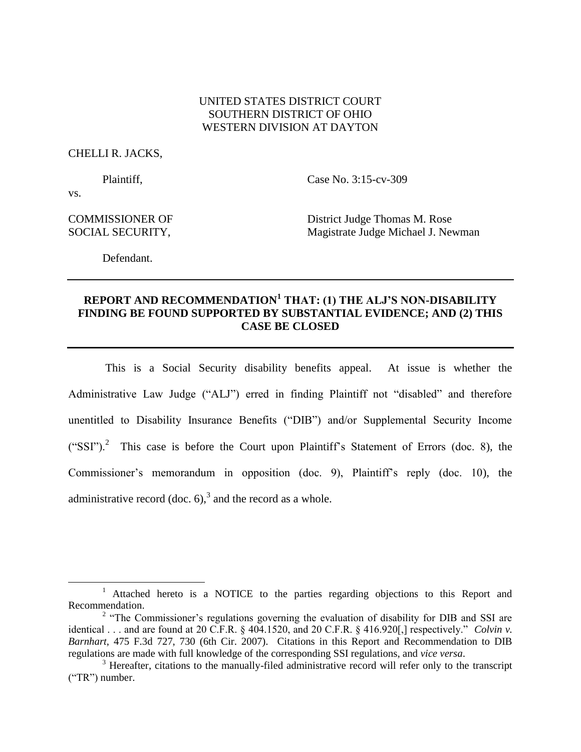# UNITED STATES DISTRICT COURT SOUTHERN DISTRICT OF OHIO WESTERN DIVISION AT DAYTON

### CHELLI R. JACKS,

Plaintiff, Case No. 3:15-cv-309

vs.

 $\overline{\phantom{a}}$ 

COMMISSIONER OF District Judge Thomas M. Rose SOCIAL SECURITY, Magistrate Judge Michael J. Newman

Defendant.

# **REPORT AND RECOMMENDATION<sup>1</sup> THAT: (1) THE ALJ'S NON-DISABILITY FINDING BE FOUND SUPPORTED BY SUBSTANTIAL EVIDENCE; AND (2) THIS CASE BE CLOSED**

This is a Social Security disability benefits appeal. At issue is whether the Administrative Law Judge ("ALJ") erred in finding Plaintiff not "disabled" and therefore unentitled to Disability Insurance Benefits ("DIB") and/or Supplemental Security Income ("SSI").<sup>2</sup> This case is before the Court upon Plaintiff's Statement of Errors (doc. 8), the Commissioner's memorandum in opposition (doc. 9), Plaintiff's reply (doc. 10), the administrative record (doc. 6),<sup>3</sup> and the record as a whole.

<sup>&</sup>lt;sup>1</sup> Attached hereto is a NOTICE to the parties regarding objections to this Report and Recommendation.

<sup>&</sup>lt;sup>2</sup> "The Commissioner's regulations governing the evaluation of disability for DIB and SSI are identical . . . and are found at 20 C.F.R. § 404.1520, and 20 C.F.R. § 416.920[,] respectively." *Colvin v. Barnhart*, 475 F.3d 727, 730 (6th Cir. 2007). Citations in this Report and Recommendation to DIB regulations are made with full knowledge of the corresponding SSI regulations, and *vice versa*.

<sup>&</sup>lt;sup>3</sup> Hereafter, citations to the manually-filed administrative record will refer only to the transcript ("TR") number.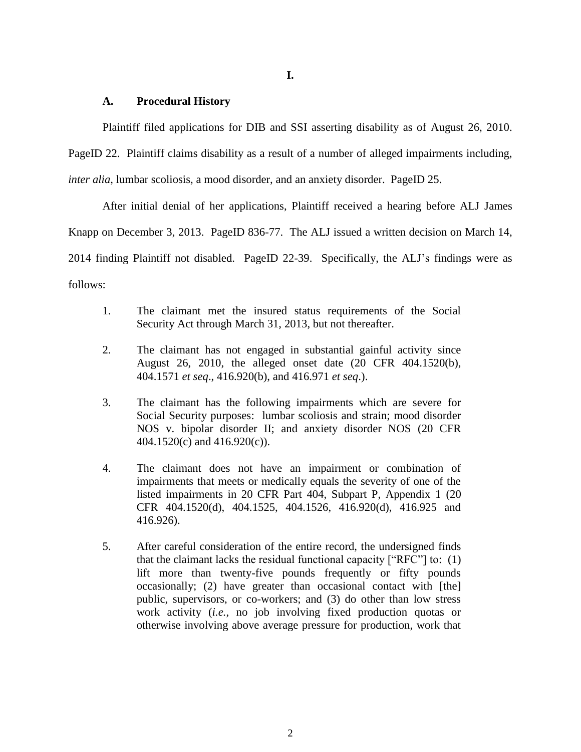### **A. Procedural History**

Plaintiff filed applications for DIB and SSI asserting disability as of August 26, 2010.

PageID 22. Plaintiff claims disability as a result of a number of alleged impairments including,

*inter alia*, lumbar scoliosis, a mood disorder, and an anxiety disorder. PageID 25.

After initial denial of her applications, Plaintiff received a hearing before ALJ James Knapp on December 3, 2013. PageID 836-77. The ALJ issued a written decision on March 14, 2014 finding Plaintiff not disabled. PageID 22-39. Specifically, the ALJ's findings were as

follows:

- 1. The claimant met the insured status requirements of the Social Security Act through March 31, 2013, but not thereafter.
- 2. The claimant has not engaged in substantial gainful activity since August 26, 2010, the alleged onset date (20 CFR 404.1520(b), 404.1571 *et seq*., 416.920(b), and 416.971 *et seq*.).
- 3. The claimant has the following impairments which are severe for Social Security purposes: lumbar scoliosis and strain; mood disorder NOS v. bipolar disorder II; and anxiety disorder NOS (20 CFR 404.1520(c) and 416.920(c)).
- 4. The claimant does not have an impairment or combination of impairments that meets or medically equals the severity of one of the listed impairments in 20 CFR Part 404, Subpart P, Appendix 1 (20 CFR 404.1520(d), 404.1525, 404.1526, 416.920(d), 416.925 and 416.926).
- 5. After careful consideration of the entire record, the undersigned finds that the claimant lacks the residual functional capacity ["RFC"] to: (1) lift more than twenty-five pounds frequently or fifty pounds occasionally; (2) have greater than occasional contact with [the] public, supervisors, or co-workers; and (3) do other than low stress work activity (*i.e.*, no job involving fixed production quotas or otherwise involving above average pressure for production, work that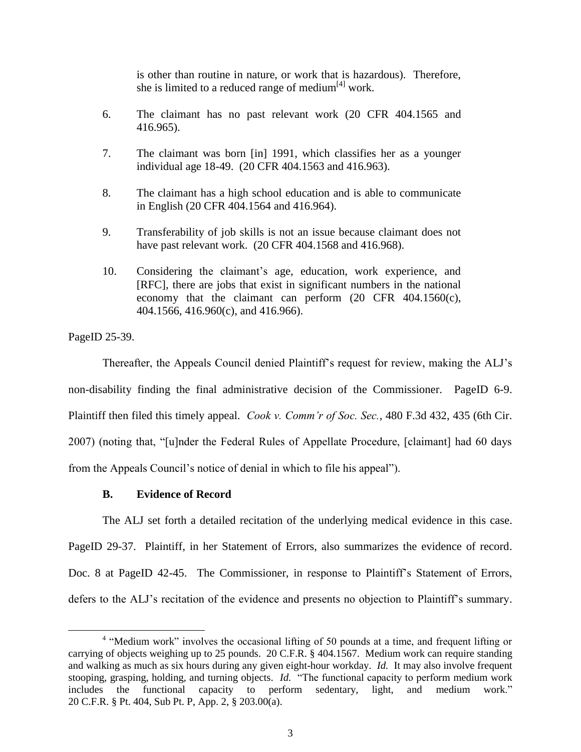is other than routine in nature, or work that is hazardous). Therefore, she is limited to a reduced range of medium $^{[4]}$  work.

- 6. The claimant has no past relevant work (20 CFR 404.1565 and 416.965).
- 7. The claimant was born [in] 1991, which classifies her as a younger individual age 18-49. (20 CFR 404.1563 and 416.963).
- 8. The claimant has a high school education and is able to communicate in English (20 CFR 404.1564 and 416.964).
- 9. Transferability of job skills is not an issue because claimant does not have past relevant work. (20 CFR 404.1568 and 416.968).
- 10. Considering the claimant's age, education, work experience, and [RFC], there are jobs that exist in significant numbers in the national economy that the claimant can perform (20 CFR 404.1560(c), 404.1566, 416.960(c), and 416.966).

PageID 25-39.

l

Thereafter, the Appeals Council denied Plaintiff's request for review, making the ALJ's non-disability finding the final administrative decision of the Commissioner. PageID 6-9. Plaintiff then filed this timely appeal. *Cook v. Comm'r of Soc. Sec.*, 480 F.3d 432, 435 (6th Cir. 2007) (noting that, "[u]nder the Federal Rules of Appellate Procedure, [claimant] had 60 days from the Appeals Council's notice of denial in which to file his appeal").

# **B. Evidence of Record**

The ALJ set forth a detailed recitation of the underlying medical evidence in this case.

PageID 29-37. Plaintiff, in her Statement of Errors, also summarizes the evidence of record. Doc. 8 at PageID 42-45. The Commissioner, in response to Plaintiff's Statement of Errors, defers to the ALJ's recitation of the evidence and presents no objection to Plaintiff's summary.

<sup>&</sup>lt;sup>4</sup> "Medium work" involves the occasional lifting of 50 pounds at a time, and frequent lifting or carrying of objects weighing up to 25 pounds. 20 C.F.R. § 404.1567. Medium work can require standing and walking as much as six hours during any given eight-hour workday. *Id.* It may also involve frequent stooping, grasping, holding, and turning objects. *Id.* "The functional capacity to perform medium work includes the functional capacity to perform sedentary, light, and medium work." 20 C.F.R. § Pt. 404, Sub Pt. P, App. 2, § 203.00(a).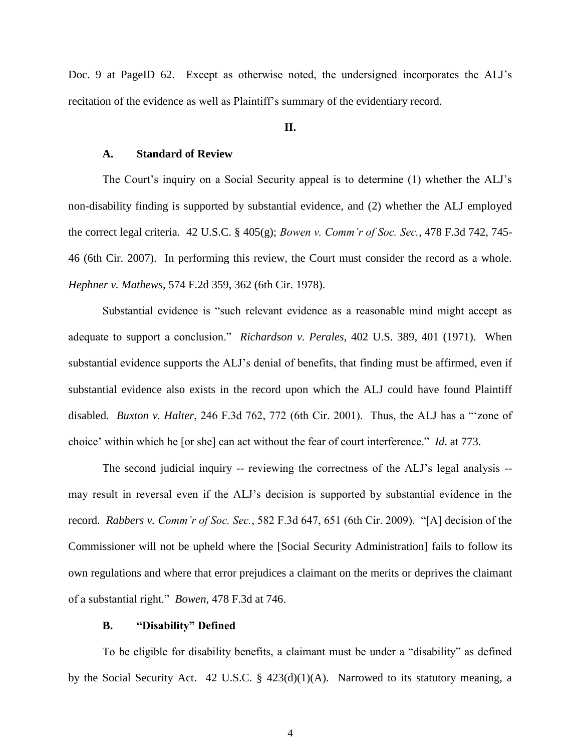Doc. 9 at PageID 62. Except as otherwise noted, the undersigned incorporates the ALJ's recitation of the evidence as well as Plaintiff's summary of the evidentiary record.

### **II.**

### **A. Standard of Review**

The Court's inquiry on a Social Security appeal is to determine (1) whether the ALJ's non-disability finding is supported by substantial evidence, and (2) whether the ALJ employed the correct legal criteria. 42 U.S.C. § 405(g); *Bowen v. Comm'r of Soc. Sec.*, 478 F.3d 742, 745- 46 (6th Cir. 2007). In performing this review, the Court must consider the record as a whole. *Hephner v. Mathews*, 574 F.2d 359, 362 (6th Cir. 1978).

Substantial evidence is "such relevant evidence as a reasonable mind might accept as adequate to support a conclusion." *Richardson v. Perales*, 402 U.S. 389, 401 (1971). When substantial evidence supports the ALJ's denial of benefits, that finding must be affirmed, even if substantial evidence also exists in the record upon which the ALJ could have found Plaintiff disabled. *Buxton v. Halter*, 246 F.3d 762, 772 (6th Cir. 2001). Thus, the ALJ has a "'zone of choice' within which he [or she] can act without the fear of court interference." *Id*. at 773.

The second judicial inquiry -- reviewing the correctness of the ALJ's legal analysis - may result in reversal even if the ALJ's decision is supported by substantial evidence in the record. *Rabbers v. Comm'r of Soc. Sec.*, 582 F.3d 647, 651 (6th Cir. 2009). "[A] decision of the Commissioner will not be upheld where the [Social Security Administration] fails to follow its own regulations and where that error prejudices a claimant on the merits or deprives the claimant of a substantial right." *Bowen*, 478 F.3d at 746.

### **B. "Disability" Defined**

To be eligible for disability benefits, a claimant must be under a "disability" as defined by the Social Security Act. 42 U.S.C. § 423(d)(1)(A). Narrowed to its statutory meaning, a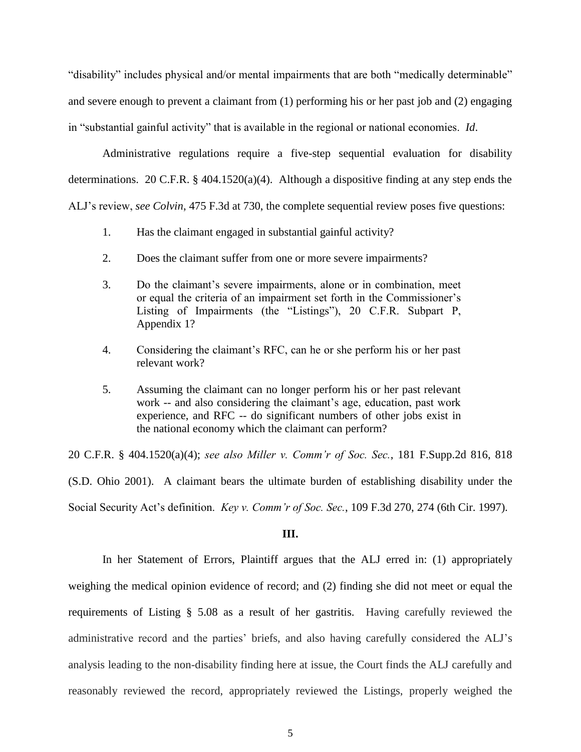"disability" includes physical and/or mental impairments that are both "medically determinable" and severe enough to prevent a claimant from (1) performing his or her past job and (2) engaging in "substantial gainful activity" that is available in the regional or national economies. *Id*.

Administrative regulations require a five-step sequential evaluation for disability determinations. 20 C.F.R.  $\S$  404.1520(a)(4). Although a dispositive finding at any step ends the ALJ's review, *see Colvin*, 475 F.3d at 730, the complete sequential review poses five questions:

- 1. Has the claimant engaged in substantial gainful activity?
- 2. Does the claimant suffer from one or more severe impairments?
- 3. Do the claimant's severe impairments, alone or in combination, meet or equal the criteria of an impairment set forth in the Commissioner's Listing of Impairments (the "Listings"), 20 C.F.R. Subpart P, Appendix 1?
- 4. Considering the claimant's RFC, can he or she perform his or her past relevant work?
- 5. Assuming the claimant can no longer perform his or her past relevant work -- and also considering the claimant's age, education, past work experience, and RFC -- do significant numbers of other jobs exist in the national economy which the claimant can perform?

20 C.F.R. § 404.1520(a)(4); *see also Miller v. Comm'r of Soc. Sec.*, 181 F.Supp.2d 816, 818 (S.D. Ohio 2001). A claimant bears the ultimate burden of establishing disability under the Social Security Act's definition. *Key v. Comm'r of Soc. Sec.*, 109 F.3d 270, 274 (6th Cir. 1997).

# **III.**

In her Statement of Errors, Plaintiff argues that the ALJ erred in: (1) appropriately weighing the medical opinion evidence of record; and (2) finding she did not meet or equal the requirements of Listing § 5.08 as a result of her gastritis. Having carefully reviewed the administrative record and the parties' briefs, and also having carefully considered the ALJ's analysis leading to the non-disability finding here at issue, the Court finds the ALJ carefully and reasonably reviewed the record, appropriately reviewed the Listings, properly weighed the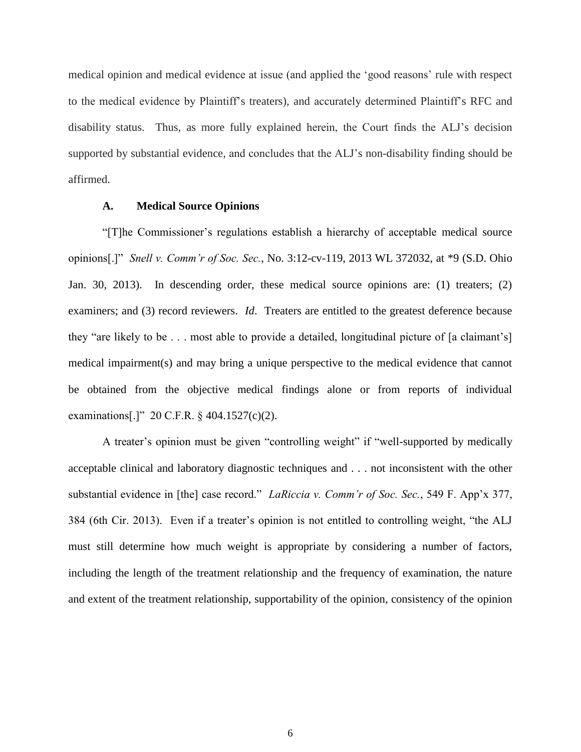medical opinion and medical evidence at issue (and applied the 'good reasons' rule with respect to the medical evidence by Plaintiff's treaters), and accurately determined Plaintiff's RFC and disability status. Thus, as more fully explained herein, the Court finds the ALJ's decision supported by substantial evidence, and concludes that the ALJ's non-disability finding should be affirmed.

### **A. Medical Source Opinions**

"[T]he Commissioner's regulations establish a hierarchy of acceptable medical source opinions[.]" *Snell v. Comm'r of Soc. Sec.*, No. 3:12-cv-119, 2013 WL 372032, at \*9 (S.D. Ohio Jan. 30, 2013). In descending order, these medical source opinions are: (1) treaters; (2) examiners; and (3) record reviewers. *Id*. Treaters are entitled to the greatest deference because they "are likely to be . . . most able to provide a detailed, longitudinal picture of [a claimant's] medical impairment(s) and may bring a unique perspective to the medical evidence that cannot be obtained from the objective medical findings alone or from reports of individual examinations[.]" 20 C.F.R. § 404.1527(c)(2).

A treater's opinion must be given "controlling weight" if "well-supported by medically acceptable clinical and laboratory diagnostic techniques and . . . not inconsistent with the other substantial evidence in [the] case record." *LaRiccia v. Comm'r of Soc. Sec.*, 549 F. App'x 377, 384 (6th Cir. 2013). Even if a treater's opinion is not entitled to controlling weight, "the ALJ must still determine how much weight is appropriate by considering a number of factors, including the length of the treatment relationship and the frequency of examination, the nature and extent of the treatment relationship, supportability of the opinion, consistency of the opinion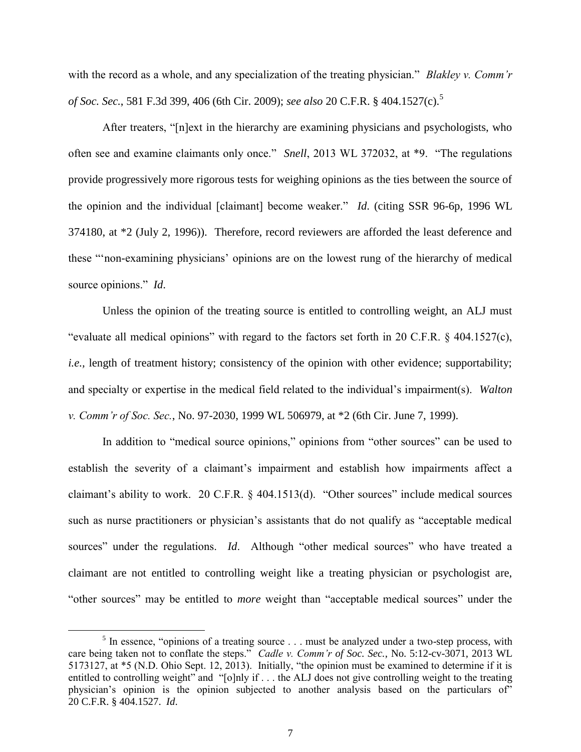with the record as a whole, and any specialization of the treating physician." *Blakley v. Comm'r of Soc. Sec.*, 581 F.3d 399, 406 (6th Cir. 2009); *see also* 20 C.F.R. § 404.1527(c).<sup>5</sup>

After treaters, "[n]ext in the hierarchy are examining physicians and psychologists, who often see and examine claimants only once." *Snell*, 2013 WL 372032, at \*9. "The regulations provide progressively more rigorous tests for weighing opinions as the ties between the source of the opinion and the individual [claimant] become weaker." *Id*. (citing SSR 96-6p, 1996 WL 374180, at \*2 (July 2, 1996)). Therefore, record reviewers are afforded the least deference and these "'non-examining physicians' opinions are on the lowest rung of the hierarchy of medical source opinions." *Id*.

Unless the opinion of the treating source is entitled to controlling weight, an ALJ must "evaluate all medical opinions" with regard to the factors set forth in 20 C.F.R. § 404.1527(c), *i.e.*, length of treatment history; consistency of the opinion with other evidence; supportability; and specialty or expertise in the medical field related to the individual's impairment(s). *Walton v. Comm'r of Soc. Sec.*, No. 97-2030, 1999 WL 506979, at \*2 (6th Cir. June 7, 1999).

In addition to "medical source opinions," opinions from "other sources" can be used to establish the severity of a claimant's impairment and establish how impairments affect a claimant's ability to work. 20 C.F.R. § 404.1513(d). "Other sources" include medical sources such as nurse practitioners or physician's assistants that do not qualify as "acceptable medical sources" under the regulations. *Id*. Although "other medical sources" who have treated a claimant are not entitled to controlling weight like a treating physician or psychologist are, "other sources" may be entitled to *more* weight than "acceptable medical sources" under the

l

 $<sup>5</sup>$  In essence, "opinions of a treating source . . . must be analyzed under a two-step process, with</sup> care being taken not to conflate the steps." *Cadle v. Comm'r of Soc. Sec.*, No. 5:12-cv-3071, 2013 WL 5173127, at \*5 (N.D. Ohio Sept. 12, 2013). Initially, "the opinion must be examined to determine if it is entitled to controlling weight" and "[o]nly if . . . the ALJ does not give controlling weight to the treating physician's opinion is the opinion subjected to another analysis based on the particulars of" 20 C.F.R. § 404.1527. *Id*.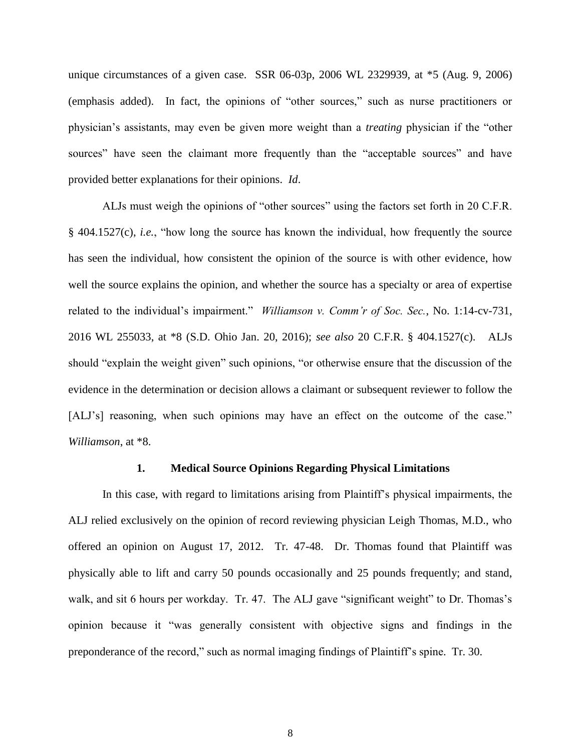unique circumstances of a given case. SSR 06-03p, 2006 WL 2329939, at \*5 (Aug. 9, 2006) (emphasis added). In fact, the opinions of "other sources," such as nurse practitioners or physician's assistants, may even be given more weight than a *treating* physician if the "other sources" have seen the claimant more frequently than the "acceptable sources" and have provided better explanations for their opinions. *Id*.

ALJs must weigh the opinions of "other sources" using the factors set forth in 20 C.F.R. § 404.1527(c), *i.e.*, "how long the source has known the individual, how frequently the source has seen the individual, how consistent the opinion of the source is with other evidence, how well the source explains the opinion, and whether the source has a specialty or area of expertise related to the individual's impairment." *Williamson v. Comm'r of Soc. Sec.*, No. 1:14-cv-731, 2016 WL 255033, at \*8 (S.D. Ohio Jan. 20, 2016); *see also* 20 C.F.R. § 404.1527(c). ALJs should "explain the weight given" such opinions, "or otherwise ensure that the discussion of the evidence in the determination or decision allows a claimant or subsequent reviewer to follow the [ALJ's] reasoning, when such opinions may have an effect on the outcome of the case." *Williamson*, at \*8.

### **1. Medical Source Opinions Regarding Physical Limitations**

In this case, with regard to limitations arising from Plaintiff's physical impairments, the ALJ relied exclusively on the opinion of record reviewing physician Leigh Thomas, M.D., who offered an opinion on August 17, 2012. Tr. 47-48. Dr. Thomas found that Plaintiff was physically able to lift and carry 50 pounds occasionally and 25 pounds frequently; and stand, walk, and sit 6 hours per workday. Tr. 47. The ALJ gave "significant weight" to Dr. Thomas's opinion because it "was generally consistent with objective signs and findings in the preponderance of the record," such as normal imaging findings of Plaintiff's spine. Tr. 30.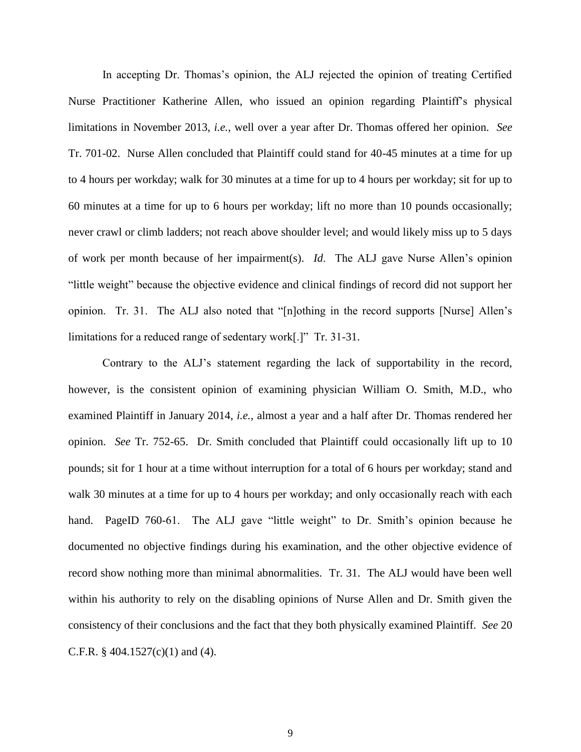In accepting Dr. Thomas's opinion, the ALJ rejected the opinion of treating Certified Nurse Practitioner Katherine Allen, who issued an opinion regarding Plaintiff's physical limitations in November 2013, *i.e.*, well over a year after Dr. Thomas offered her opinion. *See*  Tr. 701-02. Nurse Allen concluded that Plaintiff could stand for 40-45 minutes at a time for up to 4 hours per workday; walk for 30 minutes at a time for up to 4 hours per workday; sit for up to 60 minutes at a time for up to 6 hours per workday; lift no more than 10 pounds occasionally; never crawl or climb ladders; not reach above shoulder level; and would likely miss up to 5 days of work per month because of her impairment(s). *Id*. The ALJ gave Nurse Allen's opinion "little weight" because the objective evidence and clinical findings of record did not support her opinion. Tr. 31. The ALJ also noted that "[n]othing in the record supports [Nurse] Allen's limitations for a reduced range of sedentary work[.]" Tr. 31-31.

Contrary to the ALJ's statement regarding the lack of supportability in the record, however, is the consistent opinion of examining physician William O. Smith, M.D., who examined Plaintiff in January 2014, *i.e.*, almost a year and a half after Dr. Thomas rendered her opinion. *See* Tr. 752-65. Dr. Smith concluded that Plaintiff could occasionally lift up to 10 pounds; sit for 1 hour at a time without interruption for a total of 6 hours per workday; stand and walk 30 minutes at a time for up to 4 hours per workday; and only occasionally reach with each hand. PageID 760-61. The ALJ gave "little weight" to Dr. Smith's opinion because he documented no objective findings during his examination, and the other objective evidence of record show nothing more than minimal abnormalities. Tr. 31. The ALJ would have been well within his authority to rely on the disabling opinions of Nurse Allen and Dr. Smith given the consistency of their conclusions and the fact that they both physically examined Plaintiff. *See* 20 C.F.R.  $§$  404.1527(c)(1) and (4).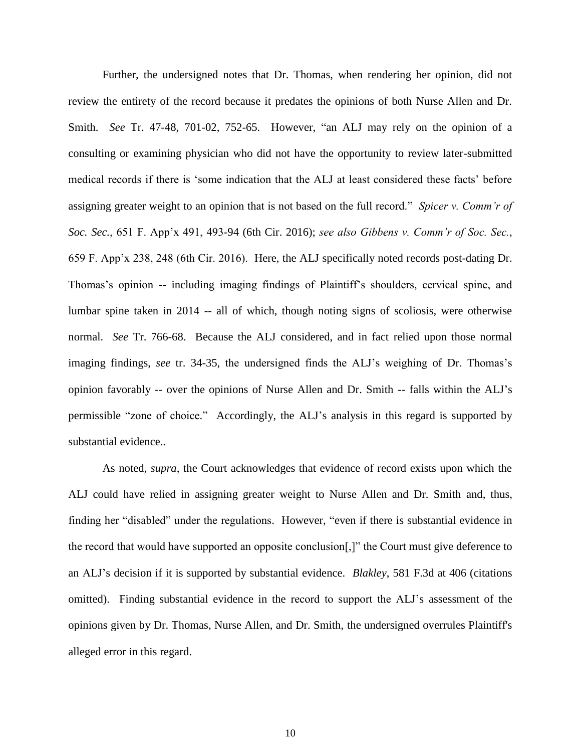Further, the undersigned notes that Dr. Thomas, when rendering her opinion, did not review the entirety of the record because it predates the opinions of both Nurse Allen and Dr. Smith. *See* Tr. 47-48, 701-02, 752-65. However, "an ALJ may rely on the opinion of a consulting or examining physician who did not have the opportunity to review later-submitted medical records if there is 'some indication that the ALJ at least considered these facts' before assigning greater weight to an opinion that is not based on the full record." *Spicer v. Comm'r of Soc. Sec.*, 651 F. App'x 491, 493-94 (6th Cir. 2016); *see also Gibbens v. Comm'r of Soc. Sec.*, 659 F. App'x 238, 248 (6th Cir. 2016). Here, the ALJ specifically noted records post-dating Dr. Thomas's opinion -- including imaging findings of Plaintiff's shoulders, cervical spine, and lumbar spine taken in 2014 -- all of which, though noting signs of scoliosis, were otherwise normal. *See* Tr. 766-68. Because the ALJ considered, and in fact relied upon those normal imaging findings, *see* tr. 34-35, the undersigned finds the ALJ's weighing of Dr. Thomas's opinion favorably -- over the opinions of Nurse Allen and Dr. Smith -- falls within the ALJ's permissible "zone of choice." Accordingly, the ALJ's analysis in this regard is supported by substantial evidence..

As noted, *supra*, the Court acknowledges that evidence of record exists upon which the ALJ could have relied in assigning greater weight to Nurse Allen and Dr. Smith and, thus, finding her "disabled" under the regulations. However, "even if there is substantial evidence in the record that would have supported an opposite conclusion[,]" the Court must give deference to an ALJ's decision if it is supported by substantial evidence. *Blakley*, 581 F.3d at 406 (citations omitted). Finding substantial evidence in the record to support the ALJ's assessment of the opinions given by Dr. Thomas, Nurse Allen, and Dr. Smith, the undersigned overrules Plaintiff's alleged error in this regard.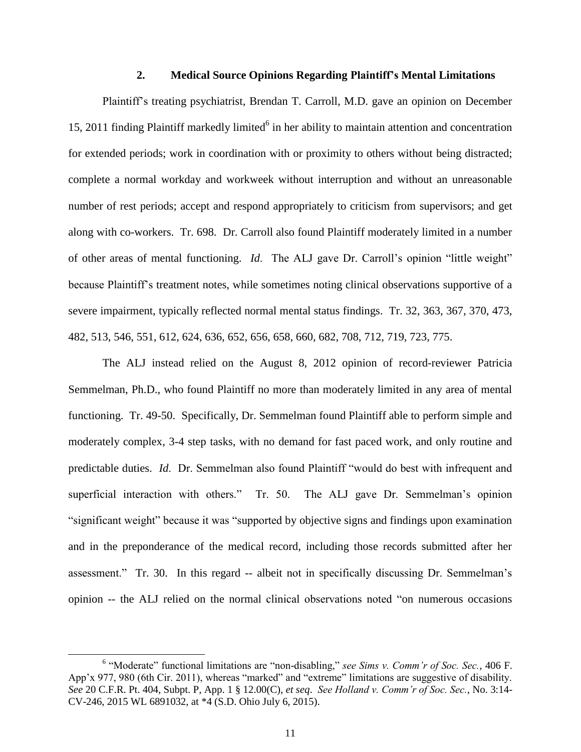# **2. Medical Source Opinions Regarding Plaintiff's Mental Limitations**

Plaintiff's treating psychiatrist, Brendan T. Carroll, M.D. gave an opinion on December 15, 2011 finding Plaintiff markedly limited<sup>6</sup> in her ability to maintain attention and concentration for extended periods; work in coordination with or proximity to others without being distracted; complete a normal workday and workweek without interruption and without an unreasonable number of rest periods; accept and respond appropriately to criticism from supervisors; and get along with co-workers. Tr. 698. Dr. Carroll also found Plaintiff moderately limited in a number of other areas of mental functioning. *Id*. The ALJ gave Dr. Carroll's opinion "little weight" because Plaintiff's treatment notes, while sometimes noting clinical observations supportive of a severe impairment, typically reflected normal mental status findings. Tr. 32, 363, 367, 370, 473, 482, 513, 546, 551, 612, 624, 636, 652, 656, 658, 660, 682, 708, 712, 719, 723, 775.

The ALJ instead relied on the August 8, 2012 opinion of record-reviewer Patricia Semmelman, Ph.D., who found Plaintiff no more than moderately limited in any area of mental functioning. Tr. 49-50. Specifically, Dr. Semmelman found Plaintiff able to perform simple and moderately complex, 3-4 step tasks, with no demand for fast paced work, and only routine and predictable duties. *Id*. Dr. Semmelman also found Plaintiff "would do best with infrequent and superficial interaction with others." Tr. 50. The ALJ gave Dr. Semmelman's opinion "significant weight" because it was "supported by objective signs and findings upon examination and in the preponderance of the medical record, including those records submitted after her assessment." Tr. 30. In this regard -- albeit not in specifically discussing Dr. Semmelman's opinion -- the ALJ relied on the normal clinical observations noted "on numerous occasions

 $\overline{\phantom{a}}$ 

<sup>&</sup>lt;sup>6</sup> "Moderate" functional limitations are "non-disabling," see Sims v. Comm'r of Soc. Sec., 406 F. App'x 977, 980 (6th Cir. 2011), whereas "marked" and "extreme" limitations are suggestive of disability. *See* 20 C.F.R. Pt. 404, Subpt. P, App. 1 § 12.00(C), *et seq*. *See Holland v. Comm'r of Soc. Sec.*, No. 3:14- CV-246, 2015 WL 6891032, at \*4 (S.D. Ohio July 6, 2015).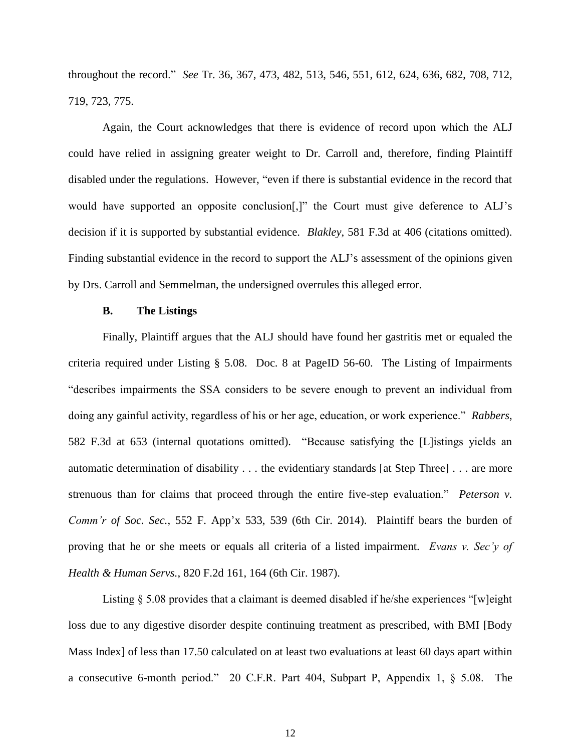throughout the record." *See* Tr. 36, 367, 473, 482, 513, 546, 551, 612, 624, 636, 682, 708, 712, 719, 723, 775.

Again, the Court acknowledges that there is evidence of record upon which the ALJ could have relied in assigning greater weight to Dr. Carroll and, therefore, finding Plaintiff disabled under the regulations. However, "even if there is substantial evidence in the record that would have supported an opposite conclusion[,]" the Court must give deference to ALJ's decision if it is supported by substantial evidence. *Blakley*, 581 F.3d at 406 (citations omitted). Finding substantial evidence in the record to support the ALJ's assessment of the opinions given by Drs. Carroll and Semmelman, the undersigned overrules this alleged error.

# **B. The Listings**

Finally, Plaintiff argues that the ALJ should have found her gastritis met or equaled the criteria required under Listing § 5.08. Doc. 8 at PageID 56-60. The Listing of Impairments "describes impairments the SSA considers to be severe enough to prevent an individual from doing any gainful activity, regardless of his or her age, education, or work experience." *Rabbers*, 582 F.3d at 653 (internal quotations omitted). "Because satisfying the [L]istings yields an automatic determination of disability . . . the evidentiary standards [at Step Three] . . . are more strenuous than for claims that proceed through the entire five-step evaluation." *Peterson v. Comm'r of Soc. Sec.*, 552 F. App'x 533, 539 (6th Cir. 2014). Plaintiff bears the burden of proving that he or she meets or equals all criteria of a listed impairment. *Evans v. Sec'y of Health & Human Servs.*, 820 F.2d 161, 164 (6th Cir. 1987).

Listing § 5.08 provides that a claimant is deemed disabled if he/she experiences "[w]eight loss due to any digestive disorder despite continuing treatment as prescribed, with BMI [Body Mass Index] of less than 17.50 calculated on at least two evaluations at least 60 days apart within a consecutive 6-month period." 20 C.F.R. Part 404, Subpart P, Appendix 1, § 5.08. The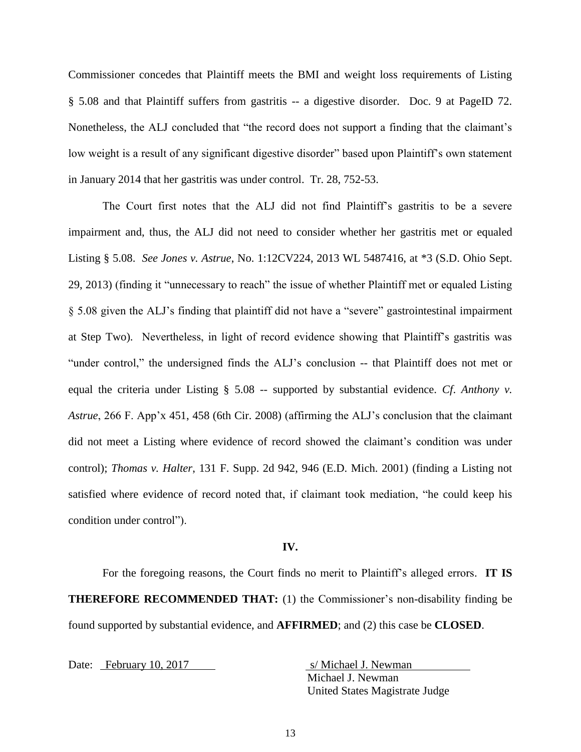Commissioner concedes that Plaintiff meets the BMI and weight loss requirements of Listing § 5.08 and that Plaintiff suffers from gastritis -- a digestive disorder. Doc. 9 at PageID 72. Nonetheless, the ALJ concluded that "the record does not support a finding that the claimant's low weight is a result of any significant digestive disorder" based upon Plaintiff's own statement in January 2014 that her gastritis was under control. Tr. 28, 752-53.

The Court first notes that the ALJ did not find Plaintiff's gastritis to be a severe impairment and, thus, the ALJ did not need to consider whether her gastritis met or equaled Listing § 5.08. *See Jones v. Astrue*, No. 1:12CV224, 2013 WL 5487416, at \*3 (S.D. Ohio Sept. 29, 2013) (finding it "unnecessary to reach" the issue of whether Plaintiff met or equaled Listing § 5.08 given the ALJ's finding that plaintiff did not have a "severe" gastrointestinal impairment at Step Two). Nevertheless, in light of record evidence showing that Plaintiff's gastritis was "under control," the undersigned finds the ALJ's conclusion -- that Plaintiff does not met or equal the criteria under Listing § 5.08 -- supported by substantial evidence. *Cf*. *Anthony v. Astrue*, 266 F. App'x 451, 458 (6th Cir. 2008) (affirming the ALJ's conclusion that the claimant did not meet a Listing where evidence of record showed the claimant's condition was under control); *Thomas v. Halter*, 131 F. Supp. 2d 942, 946 (E.D. Mich. 2001) (finding a Listing not satisfied where evidence of record noted that, if claimant took mediation, "he could keep his condition under control").

#### **IV.**

For the foregoing reasons, the Court finds no merit to Plaintiff's alleged errors. **IT IS THEREFORE RECOMMENDED THAT:** (1) the Commissioner's non-disability finding be found supported by substantial evidence, and **AFFIRMED**; and (2) this case be **CLOSED**.

Date: February 10, 2017 s/ Michael J. Newman

Michael J. Newman United States Magistrate Judge